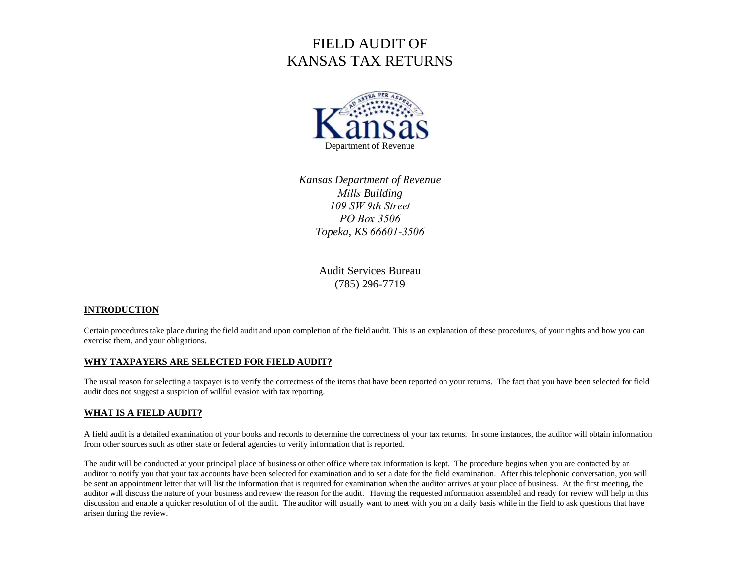# FIELD AUDIT OF KANSAS TAX RETURNS



Department of Revenue

*Kansas Department of Revenue Mills Building 109 SW 9th StreetPO Box 3506Topeka, KS 66601-3506*

> Audit Services Bureau (785) 296-7719

# **INTRODUCTION**

Certain procedures take place during the field audit and upon completion of the field audit. This is an explanation of these procedures, of your rights and how you can exercise them, and your obligations.

# **WHY TAXPAYERS ARE SELECTED FOR FIELD AUDIT?**

The usual reason for selecting a taxpayer is to verify the correctness of the items that have been reported on your returns. The fact that you have been selected for field audit does not suggest a suspicion of willful evasion with tax reporting.

#### **WHAT IS A FIELD AUDIT?**

A field audit is a detailed examination of your books and records to determine the correctness of your tax returns. In some instances, the auditor will obtain information from other sources such as other state or federal agencies to verify information that is reported.

The audit will be conducted at your principal place of business or other office where tax information is kept. The procedure begins when you are contacted by an auditor to notify you that your tax accounts have been selected for examination and to set a date for the field examination. After this telephonic conversation, you will be sent an appointment letter that will list the information that is required for examination when the auditor arrives at your place of business. At the first meeting, the auditor will discuss the nature of your business and review the reason for the audit. Having the requested information assembled and ready for review will help in this discussion and enable a quicker resolution of of the audit. The auditor will usually want to meet with you on a daily basis while in the field to ask questions that have arisen during the review.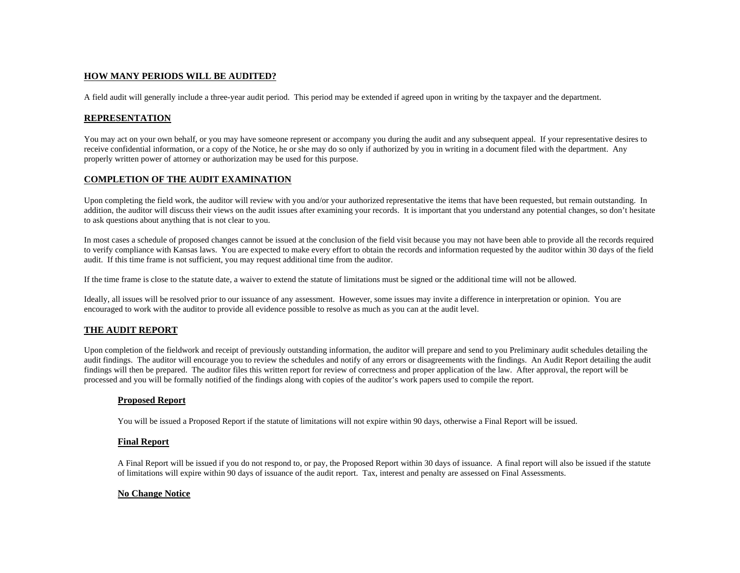## **HOW MANY PERIODS WILL BE AUDITED?**

A field audit will generally include a three-year audit period. This period may be extended if agreed upon in writing by the taxpayer and the department.

## **REPRESENTATION**

You may act on your own behalf, or you may have someone represent or accompany you during the audit and any subsequent appeal. If your representative desires to receive confidential information, or a copy of the Notice, he or she may do so only if authorized by you in writing in a document filed with the department. Any properly written power of attorney or authorization may be used for this purpose.

# **COMPLETION OF THE AUDIT EXAMINATION**

Upon completing the field work, the auditor will review with you and/or your authorized representative the items that have been requested, but remain outstanding. In addition, the auditor will discuss their views on the audit issues after examining your records. It is important that you understand any potential changes, so don't hesitate to ask questions about anything that is not clear to you.

In most cases a schedule of proposed changes cannot be issued at the conclusion of the field visit because you may not have been able to provide all the records required to verify compliance with Kansas laws. You are expected to make every effort to obtain the records and information requested by the auditor within 30 days of the field audit. If this time frame is not sufficient, you may request additional time from the auditor.

If the time frame is close to the statute date, a waiver to extend the statute of limitations must be signed or the additional time will not be allowed.

Ideally, all issues will be resolved prior to our issuance of any assessment. However, some issues may invite a difference in interpretation or opinion. You are encouraged to work with the auditor to provide all evidence possible to resolve as much as you can at the audit level.

# **THE AUDIT REPORT**

Upon completion of the fieldwork and receipt of previously outstanding information, the auditor will prepare and send to you Preliminary audit schedules detailing the audit findings. The auditor will encourage you to review the schedules and notify of any errors or disagreements with the findings. An Audit Report detailing the audit findings will then be prepared. The auditor files this written report for review of correctness and proper application of the law. After approval, the report will be processed and you will be formally notified of the findings along with copies of the auditor's work papers used to compile the report.

#### **Proposed Report**

You will be issued a Proposed Report if the statute of limitations will not expire within 90 days, otherwise a Final Report will be issued.

#### **Final Report**

A Final Report will be issued if you do not respond to, or pay, the Proposed Report within 30 days of issuance. A final report will also be issued if the statute of limitations will expire within 90 days of issuance of the audit report. Tax, interest and penalty are assessed on Final Assessments.

#### **No Change Notice**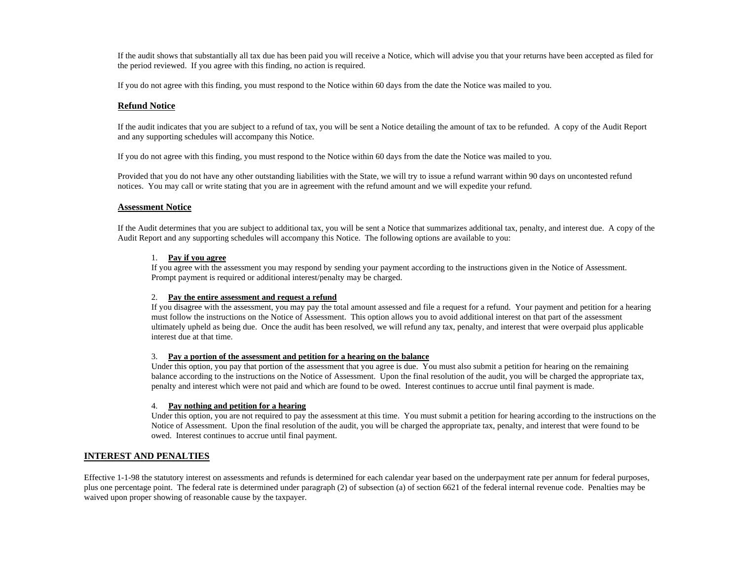If the audit shows that substantially all tax due has been paid you will receive a Notice, which will advise you that your returns have been accepted as filed for the period reviewed. If you agree with this finding, no action is required.

If you do not agree with this finding, you must respond to the Notice within 60 days from the date the Notice was mailed to you.

#### **Refund Notice**

If the audit indicates that you are subject to a refund of tax, you will be sent a Notice detailing the amount of tax to be refunded. A copy of the Audit Report and any supporting schedules will accompany this Notice.

If you do not agree with this finding, you must respond to the Notice within 60 days from the date the Notice was mailed to you.

Provided that you do not have any other outstanding liabilities with the State, we will try to issue a refund warrant within 90 days on uncontested refund notices. You may call or write stating that you are in agreement with the refund amount and we will expedite your refund.

#### **Assessment Notice**

If the Audit determines that you are subject to additional tax, you will be sent a Notice that summarizes additional tax, penalty, and interest due. A copy of the Audit Report and any supporting schedules will accompany this Notice. The following options are available to you:

#### 1. **Pay if you agree**

If you agree with the assessment you may respond by sending your payment according to the instructions given in the Notice of Assessment. Prompt payment is required or additional interest/penalty may be charged.

#### 2. **Pay the entire assessment and request a refund**

If you disagree with the assessment, you may pay the total amount assessed and file a request for a refund. Your payment and petition for a hearing must follow the instructions on the Notice of Assessment. This option allows you to avoid additional interest on that part of the assessment ultimately upheld as being due. Once the audit has been resolved, we will refund any tax, penalty, and interest that were overpaid plus applicable interest due at that time.

#### 3. **Pay a portion of the assessment and petition for a hearing on the balance**

Under this option, you pay that portion of the assessment that you agree is due. You must also submit a petition for hearing on the remaining balance according to the instructions on the Notice of Assessment. Upon the final resolution of the audit, you will be charged the appropriate tax, penalty and interest which were not paid and which are found to be owed. Interest continues to accrue until final payment is made.

#### 4. **Pay nothing and petition for a hearing**

Under this option, you are not required to pay the assessment at this time. You must submit a petition for hearing according to the instructions on the Notice of Assessment. Upon the final resolution of the audit, you will be charged the appropriate tax, penalty, and interest that were found to be owed. Interest continues to accrue until final payment.

#### **INTEREST AND PENALTIES**

Effective 1-1-98 the statutory interest on assessments and refunds is determined for each calendar year based on the underpayment rate per annum for federal purposes, plus one percentage point. The federal rate is determined under paragraph (2) of subsection (a) of section 6621 of the federal internal revenue code. Penalties may be waived upon proper showing of reasonable cause by the taxpayer.